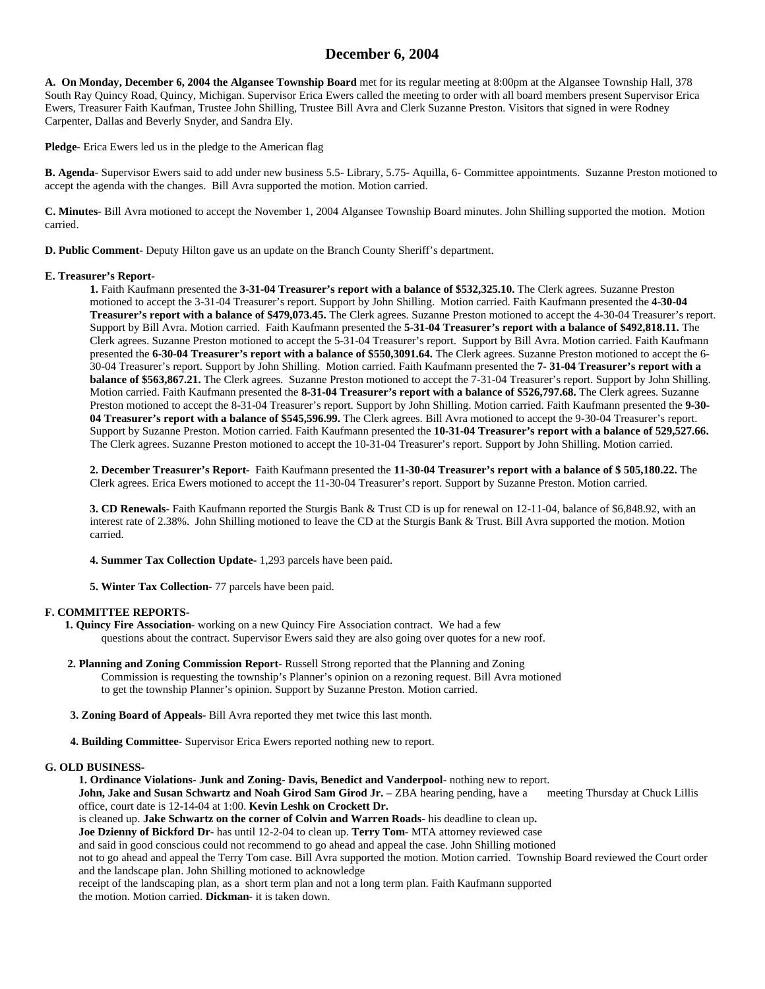# **December 6, 2004**

**A. On Monday, December 6, 2004 the Algansee Township Board** met for its regular meeting at 8:00pm at the Algansee Township Hall, 378 South Ray Quincy Road, Quincy, Michigan. Supervisor Erica Ewers called the meeting to order with all board members present Supervisor Erica Ewers, Treasurer Faith Kaufman, Trustee John Shilling, Trustee Bill Avra and Clerk Suzanne Preston. Visitors that signed in were Rodney Carpenter, Dallas and Beverly Snyder, and Sandra Ely.

**Pledge**- Erica Ewers led us in the pledge to the American flag

**B. Agenda**- Supervisor Ewers said to add under new business 5.5- Library, 5.75- Aquilla, 6- Committee appointments. Suzanne Preston motioned to accept the agenda with the changes. Bill Avra supported the motion. Motion carried.

**C. Minutes**- Bill Avra motioned to accept the November 1, 2004 Algansee Township Board minutes. John Shilling supported the motion. Motion carried.

**D. Public Comment**- Deputy Hilton gave us an update on the Branch County Sheriff's department.

#### **E. Treasurer's Report**-

**1.** Faith Kaufmann presented the **3-31-04 Treasurer's report with a balance of \$532,325.10.** The Clerk agrees. Suzanne Preston motioned to accept the 3-31-04 Treasurer's report. Support by John Shilling. Motion carried. Faith Kaufmann presented the **4-30-04 Treasurer's report with a balance of \$479,073.45.** The Clerk agrees. Suzanne Preston motioned to accept the 4-30-04 Treasurer's report. Support by Bill Avra. Motion carried. Faith Kaufmann presented the **5-31-04 Treasurer's report with a balance of \$492,818.11.** The Clerk agrees. Suzanne Preston motioned to accept the 5-31-04 Treasurer's report. Support by Bill Avra. Motion carried. Faith Kaufmann presented the **6-30-04 Treasurer's report with a balance of \$550,3091.64.** The Clerk agrees. Suzanne Preston motioned to accept the 6- 30-04 Treasurer's report. Support by John Shilling. Motion carried. Faith Kaufmann presented the **7- 31-04 Treasurer's report with a balance of \$563,867.21.** The Clerk agrees. Suzanne Preston motioned to accept the 7-31-04 Treasurer's report. Support by John Shilling. Motion carried. Faith Kaufmann presented the **8-31-04 Treasurer's report with a balance of \$526,797.68.** The Clerk agrees. Suzanne Preston motioned to accept the 8-31-04 Treasurer's report. Support by John Shilling. Motion carried. Faith Kaufmann presented the **9-30- 04 Treasurer's report with a balance of \$545,596.99.** The Clerk agrees. Bill Avra motioned to accept the 9-30-04 Treasurer's report. Support by Suzanne Preston. Motion carried. Faith Kaufmann presented the **10-31-04 Treasurer's report with a balance of 529,527.66.** The Clerk agrees. Suzanne Preston motioned to accept the 10-31-04 Treasurer's report. Support by John Shilling. Motion carried.

**2. December Treasurer's Report-** Faith Kaufmann presented the **11-30-04 Treasurer's report with a balance of \$ 505,180.22.** The Clerk agrees. Erica Ewers motioned to accept the 11-30-04 Treasurer's report. Support by Suzanne Preston. Motion carried.

**3. CD Renewals-** Faith Kaufmann reported the Sturgis Bank & Trust CD is up for renewal on 12-11-04, balance of \$6,848.92, with an interest rate of 2.38%. John Shilling motioned to leave the CD at the Sturgis Bank & Trust. Bill Avra supported the motion. Motion carried.

**4. Summer Tax Collection Update-** 1,293 parcels have been paid.

**5. Winter Tax Collection-** 77 parcels have been paid.

## **F. COMMITTEE REPORTS-**

 **1. Quincy Fire Association**- working on a new Quincy Fire Association contract. We had a few questions about the contract. Supervisor Ewers said they are also going over quotes for a new roof.

 **2. Planning and Zoning Commission Report**- Russell Strong reported that the Planning and Zoning Commission is requesting the township's Planner's opinion on a rezoning request. Bill Avra motioned to get the township Planner's opinion. Support by Suzanne Preston. Motion carried.

 **3. Zoning Board of Appeals**- Bill Avra reported they met twice this last month.

 **4. Building Committee**- Supervisor Erica Ewers reported nothing new to report.

## **G. OLD BUSINESS-**

**1. Ordinance Violations- Junk and Zoning- Davis, Benedict and Vanderpool**- nothing new to report. **John, Jake and Susan Schwartz and Noah Girod Sam Girod Jr.** – ZBA hearing pending, have a meeting Thursday at Chuck Lillis office, court date is 12-14-04 at 1:00. **Kevin Leshk on Crockett Dr.**  is cleaned up. **Jake Schwartz on the corner of Colvin and Warren Roads-** his deadline to clean up**. Joe Dzienny of Bickford Dr-** has until 12-2-04 to clean up. **Terry Tom**- MTA attorney reviewed case and said in good conscious could not recommend to go ahead and appeal the case. John Shilling motioned not to go ahead and appeal the Terry Tom case. Bill Avra supported the motion. Motion carried. Township Board reviewed the Court order and the landscape plan. John Shilling motioned to acknowledge

receipt of the landscaping plan, as a short term plan and not a long term plan. Faith Kaufmann supported

the motion. Motion carried. **Dickman**- it is taken down.